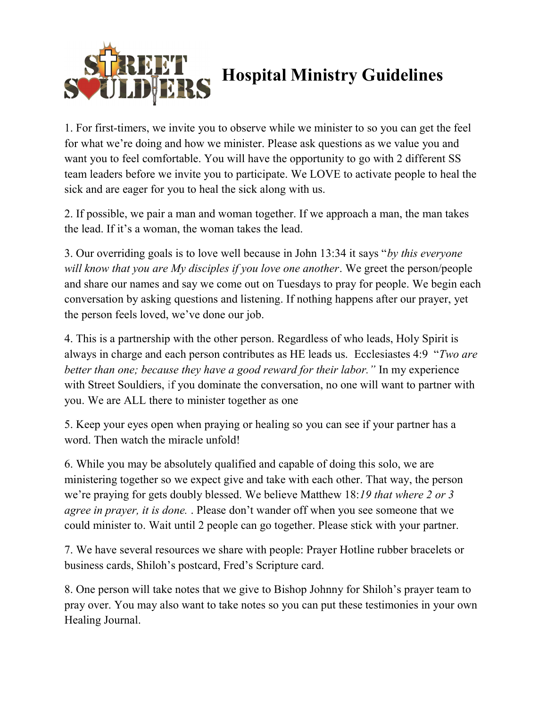

## Hospital Ministry Guidelines

1. For first-timers, we invite you to observe while we minister to so you can get the feel for what we're doing and how we minister. Please ask questions as we value you and want you to feel comfortable. You will have the opportunity to go with 2 different SS team leaders before we invite you to participate. We LOVE to activate people to heal the sick and are eager for you to heal the sick along with us.

2. If possible, we pair a man and woman together. If we approach a man, the man takes the lead. If it's a woman, the woman takes the lead.

3. Our overriding goals is to love well because in John 13:34 it says "by this everyone will know that you are My disciples if you love one another. We greet the person/people and share our names and say we come out on Tuesdays to pray for people. We begin each conversation by asking questions and listening. If nothing happens after our prayer, yet the person feels loved, we've done our job.

4. This is a partnership with the other person. Regardless of who leads, Holy Spirit is always in charge and each person contributes as HE leads us. Ecclesiastes 4:9 "Two are better than one; because they have a good reward for their labor." In my experience with Street Souldiers, if you dominate the conversation, no one will want to partner with you. We are ALL there to minister together as one

5. Keep your eyes open when praying or healing so you can see if your partner has a word. Then watch the miracle unfold!

6. While you may be absolutely qualified and capable of doing this solo, we are ministering together so we expect give and take with each other. That way, the person we're praying for gets doubly blessed. We believe Matthew 18:19 that where 2 or 3 agree in prayer, it is done. . Please don't wander off when you see someone that we could minister to. Wait until 2 people can go together. Please stick with your partner.

7. We have several resources we share with people: Prayer Hotline rubber bracelets or business cards, Shiloh's postcard, Fred's Scripture card.

8. One person will take notes that we give to Bishop Johnny for Shiloh's prayer team to pray over. You may also want to take notes so you can put these testimonies in your own Healing Journal.